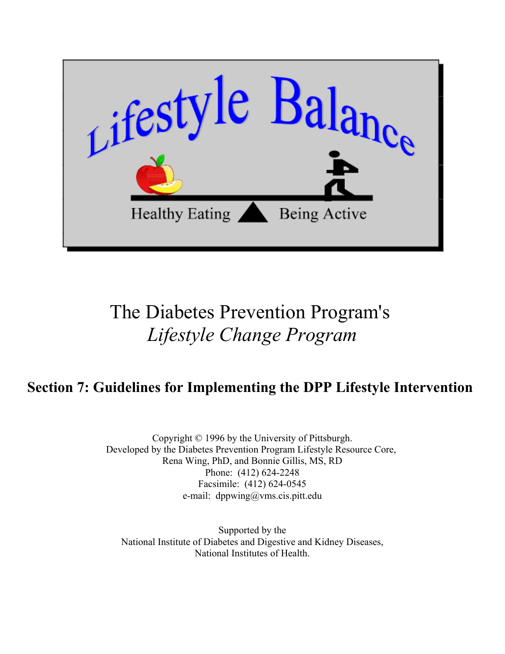

# The Diabetes Prevention Program's *Lifestyle Change Program*

# **Section 7: Guidelines for Implementing the DPP Lifestyle Intervention**

Copyright © 1996 by the University of Pittsburgh. Developed by the Diabetes Prevention Program Lifestyle Resource Core, Rena Wing, PhD, and Bonnie Gillis, MS, RD Phone: (412) 624-2248 Facsimile: (412) 624-0545 e-mail: dppwing@vms.cis.pitt.edu

Supported by the [National Institute of Diabetes and Digestive and Kidney Diseases,](http://www.niddk.nih.gov) [National Institutes of Health.](http://www.nih.gov)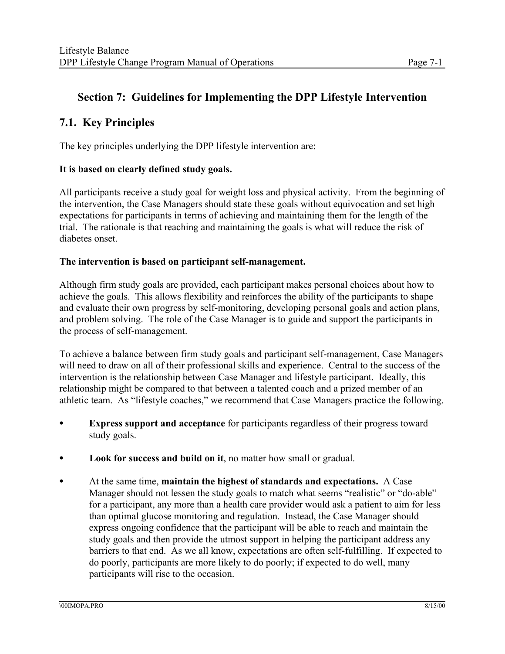# **Section 7: Guidelines for Implementing the DPP Lifestyle Intervention**

# **7.1. Key Principles**

The key principles underlying the DPP lifestyle intervention are:

#### **It is based on clearly defined study goals.**

All participants receive a study goal for weight loss and physical activity. From the beginning of the intervention, the Case Managers should state these goals without equivocation and set high expectations for participants in terms of achieving and maintaining them for the length of the trial. The rationale is that reaching and maintaining the goals is what will reduce the risk of diabetes onset.

#### **The intervention is based on participant self-management.**

Although firm study goals are provided, each participant makes personal choices about how to achieve the goals. This allows flexibility and reinforces the ability of the participants to shape and evaluate their own progress by self-monitoring, developing personal goals and action plans, and problem solving. The role of the Case Manager is to guide and support the participants in the process of self-management.

To achieve a balance between firm study goals and participant self-management, Case Managers will need to draw on all of their professional skills and experience. Central to the success of the intervention is the relationship between Case Manager and lifestyle participant. Ideally, this relationship might be compared to that between a talented coach and a prized member of an athletic team. As "lifestyle coaches," we recommend that Case Managers practice the following.

- **Express support and acceptance** for participants regardless of their progress toward study goals.
- Look for success and build on it, no matter how small or gradual.
- C At the same time, **maintain the highest of standards and expectations.** A Case Manager should not lessen the study goals to match what seems "realistic" or "do-able" for a participant, any more than a health care provider would ask a patient to aim for less than optimal glucose monitoring and regulation. Instead, the Case Manager should express ongoing confidence that the participant will be able to reach and maintain the study goals and then provide the utmost support in helping the participant address any barriers to that end. As we all know, expectations are often self-fulfilling. If expected to do poorly, participants are more likely to do poorly; if expected to do well, many participants will rise to the occasion.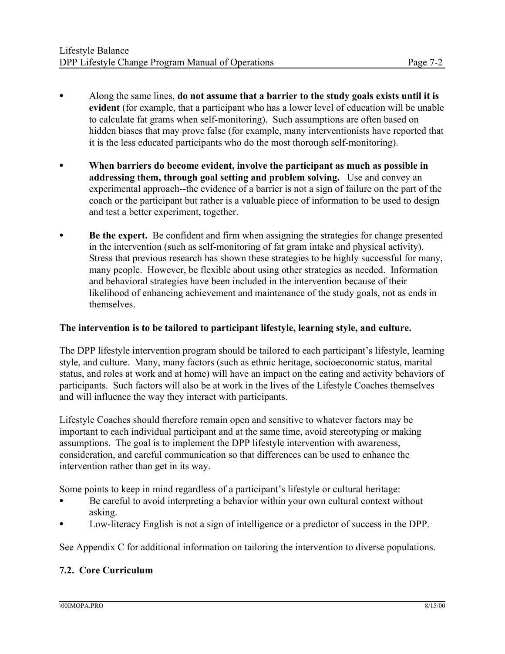- C Along the same lines, **do not assume that a barrier to the study goals exists until it is evident** (for example, that a participant who has a lower level of education will be unable to calculate fat grams when self-monitoring). Such assumptions are often based on hidden biases that may prove false (for example, many interventionists have reported that it is the less educated participants who do the most thorough self-monitoring).
- When barriers do become evident, involve the participant as much as possible in **addressing them, through goal setting and problem solving.** Use and convey an experimental approach--the evidence of a barrier is not a sign of failure on the part of the coach or the participant but rather is a valuable piece of information to be used to design and test a better experiment, together.
- **Be the expert.** Be confident and firm when assigning the strategies for change presented in the intervention (such as self-monitoring of fat gram intake and physical activity). Stress that previous research has shown these strategies to be highly successful for many, many people. However, be flexible about using other strategies as needed. Information and behavioral strategies have been included in the intervention because of their likelihood of enhancing achievement and maintenance of the study goals, not as ends in themselves.

#### **The intervention is to be tailored to participant lifestyle, learning style, and culture.**

The DPP lifestyle intervention program should be tailored to each participant's lifestyle, learning style, and culture. Many, many factors (such as ethnic heritage, socioeconomic status, marital status, and roles at work and at home) will have an impact on the eating and activity behaviors of participants. Such factors will also be at work in the lives of the Lifestyle Coaches themselves and will influence the way they interact with participants.

Lifestyle Coaches should therefore remain open and sensitive to whatever factors may be important to each individual participant and at the same time, avoid stereotyping or making assumptions. The goal is to implement the DPP lifestyle intervention with awareness, consideration, and careful communication so that differences can be used to enhance the intervention rather than get in its way.

Some points to keep in mind regardless of a participant's lifestyle or cultural heritage:

- Be careful to avoid interpreting a behavior within your own cultural context without asking.
- Low-literacy English is not a sign of intelligence or a predictor of success in the DPP.

See Appendix C for additional information on tailoring the intervention to diverse populations.

#### **7.2. Core Curriculum**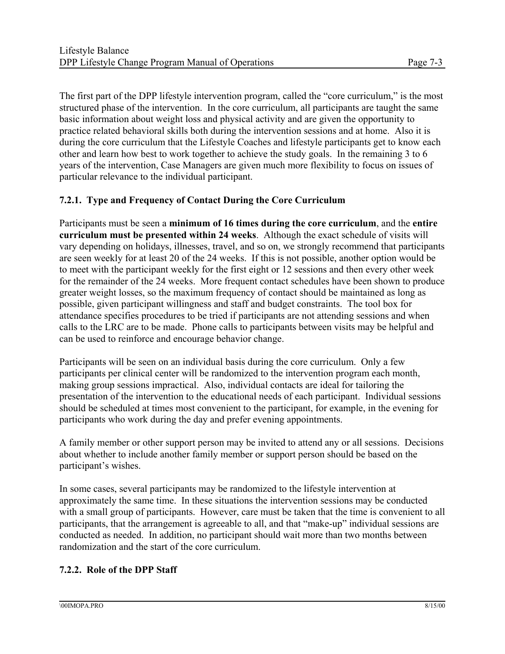The first part of the DPP lifestyle intervention program, called the "core curriculum," is the most structured phase of the intervention. In the core curriculum, all participants are taught the same basic information about weight loss and physical activity and are given the opportunity to practice related behavioral skills both during the intervention sessions and at home. Also it is during the core curriculum that the Lifestyle Coaches and lifestyle participants get to know each other and learn how best to work together to achieve the study goals. In the remaining 3 to 6 years of the intervention, Case Managers are given much more flexibility to focus on issues of particular relevance to the individual participant.

### **7.2.1. Type and Frequency of Contact During the Core Curriculum**

Participants must be seen a **minimum of 16 times during the core curriculum**, and the **entire curriculum must be presented within 24 weeks**. Although the exact schedule of visits will vary depending on holidays, illnesses, travel, and so on, we strongly recommend that participants are seen weekly for at least 20 of the 24 weeks. If this is not possible, another option would be to meet with the participant weekly for the first eight or 12 sessions and then every other week for the remainder of the 24 weeks. More frequent contact schedules have been shown to produce greater weight losses, so the maximum frequency of contact should be maintained as long as possible, given participant willingness and staff and budget constraints. The tool box for attendance specifies procedures to be tried if participants are not attending sessions and when calls to the LRC are to be made. Phone calls to participants between visits may be helpful and can be used to reinforce and encourage behavior change.

Participants will be seen on an individual basis during the core curriculum. Only a few participants per clinical center will be randomized to the intervention program each month, making group sessions impractical. Also, individual contacts are ideal for tailoring the presentation of the intervention to the educational needs of each participant. Individual sessions should be scheduled at times most convenient to the participant, for example, in the evening for participants who work during the day and prefer evening appointments.

A family member or other support person may be invited to attend any or all sessions. Decisions about whether to include another family member or support person should be based on the participant's wishes.

In some cases, several participants may be randomized to the lifestyle intervention at approximately the same time. In these situations the intervention sessions may be conducted with a small group of participants. However, care must be taken that the time is convenient to all participants, that the arrangement is agreeable to all, and that "make-up" individual sessions are conducted as needed. In addition, no participant should wait more than two months between randomization and the start of the core curriculum.

#### **7.2.2. Role of the DPP Staff**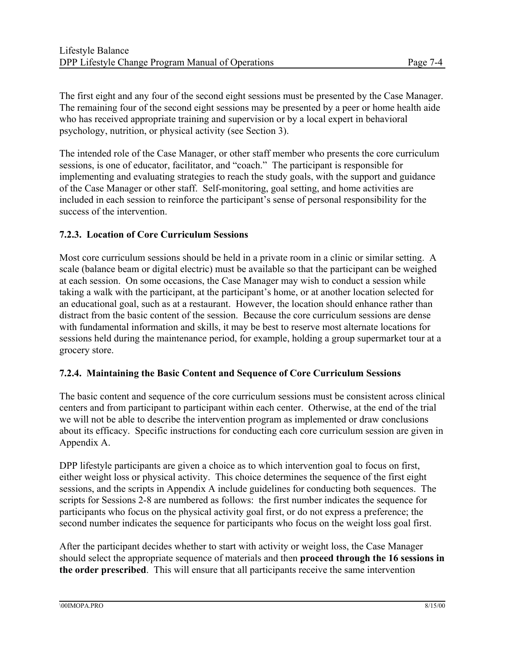The first eight and any four of the second eight sessions must be presented by the Case Manager. The remaining four of the second eight sessions may be presented by a peer or home health aide who has received appropriate training and supervision or by a local expert in behavioral psychology, nutrition, or physical activity (see Section 3).

The intended role of the Case Manager, or other staff member who presents the core curriculum sessions, is one of educator, facilitator, and "coach." The participant is responsible for implementing and evaluating strategies to reach the study goals, with the support and guidance of the Case Manager or other staff. Self-monitoring, goal setting, and home activities are included in each session to reinforce the participant's sense of personal responsibility for the success of the intervention.

#### **7.2.3. Location of Core Curriculum Sessions**

Most core curriculum sessions should be held in a private room in a clinic or similar setting. A scale (balance beam or digital electric) must be available so that the participant can be weighed at each session. On some occasions, the Case Manager may wish to conduct a session while taking a walk with the participant, at the participant's home, or at another location selected for an educational goal, such as at a restaurant. However, the location should enhance rather than distract from the basic content of the session. Because the core curriculum sessions are dense with fundamental information and skills, it may be best to reserve most alternate locations for sessions held during the maintenance period, for example, holding a group supermarket tour at a grocery store.

#### **7.2.4. Maintaining the Basic Content and Sequence of Core Curriculum Sessions**

The basic content and sequence of the core curriculum sessions must be consistent across clinical centers and from participant to participant within each center. Otherwise, at the end of the trial we will not be able to describe the intervention program as implemented or draw conclusions about its efficacy. Specific instructions for conducting each core curriculum session are given in Appendix A.

DPP lifestyle participants are given a choice as to which intervention goal to focus on first, either weight loss or physical activity. This choice determines the sequence of the first eight sessions, and the scripts in Appendix A include guidelines for conducting both sequences. The scripts for Sessions 2-8 are numbered as follows: the first number indicates the sequence for participants who focus on the physical activity goal first, or do not express a preference; the second number indicates the sequence for participants who focus on the weight loss goal first.

After the participant decides whether to start with activity or weight loss, the Case Manager should select the appropriate sequence of materials and then **proceed through the 16 sessions in the order prescribed**. This will ensure that all participants receive the same intervention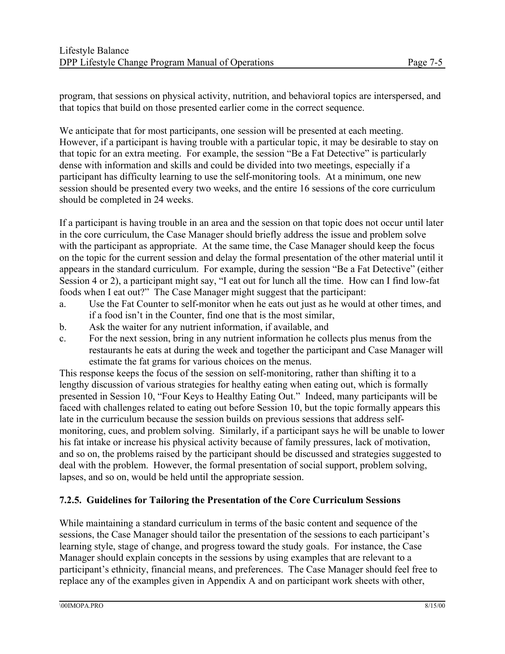program, that sessions on physical activity, nutrition, and behavioral topics are interspersed, and that topics that build on those presented earlier come in the correct sequence.

We anticipate that for most participants, one session will be presented at each meeting. However, if a participant is having trouble with a particular topic, it may be desirable to stay on that topic for an extra meeting. For example, the session "Be a Fat Detective" is particularly dense with information and skills and could be divided into two meetings, especially if a participant has difficulty learning to use the self-monitoring tools. At a minimum, one new session should be presented every two weeks, and the entire 16 sessions of the core curriculum should be completed in 24 weeks.

If a participant is having trouble in an area and the session on that topic does not occur until later in the core curriculum, the Case Manager should briefly address the issue and problem solve with the participant as appropriate. At the same time, the Case Manager should keep the focus on the topic for the current session and delay the formal presentation of the other material until it appears in the standard curriculum. For example, during the session "Be a Fat Detective" (either Session 4 or 2), a participant might say, "I eat out for lunch all the time. How can I find low-fat foods when I eat out?" The Case Manager might suggest that the participant:

- a. Use the Fat Counter to self-monitor when he eats out just as he would at other times, and if a food isn't in the Counter, find one that is the most similar,
- b. Ask the waiter for any nutrient information, if available, and
- c. For the next session, bring in any nutrient information he collects plus menus from the restaurants he eats at during the week and together the participant and Case Manager will estimate the fat grams for various choices on the menus.

This response keeps the focus of the session on self-monitoring, rather than shifting it to a lengthy discussion of various strategies for healthy eating when eating out, which is formally presented in Session 10, "Four Keys to Healthy Eating Out." Indeed, many participants will be faced with challenges related to eating out before Session 10, but the topic formally appears this late in the curriculum because the session builds on previous sessions that address selfmonitoring, cues, and problem solving. Similarly, if a participant says he will be unable to lower his fat intake or increase his physical activity because of family pressures, lack of motivation, and so on, the problems raised by the participant should be discussed and strategies suggested to deal with the problem. However, the formal presentation of social support, problem solving, lapses, and so on, would be held until the appropriate session.

#### **7.2.5. Guidelines for Tailoring the Presentation of the Core Curriculum Sessions**

While maintaining a standard curriculum in terms of the basic content and sequence of the sessions, the Case Manager should tailor the presentation of the sessions to each participant's learning style, stage of change, and progress toward the study goals. For instance, the Case Manager should explain concepts in the sessions by using examples that are relevant to a participant's ethnicity, financial means, and preferences. The Case Manager should feel free to replace any of the examples given in Appendix A and on participant work sheets with other,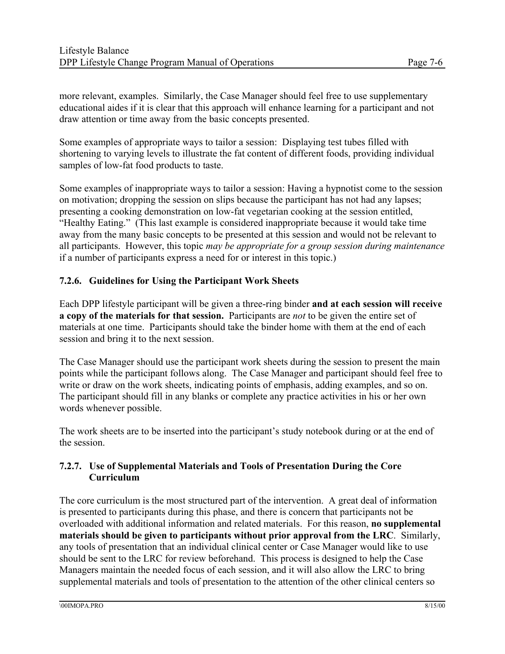more relevant, examples. Similarly, the Case Manager should feel free to use supplementary educational aides if it is clear that this approach will enhance learning for a participant and not draw attention or time away from the basic concepts presented.

Some examples of appropriate ways to tailor a session: Displaying test tubes filled with shortening to varying levels to illustrate the fat content of different foods, providing individual samples of low-fat food products to taste.

Some examples of inappropriate ways to tailor a session: Having a hypnotist come to the session on motivation; dropping the session on slips because the participant has not had any lapses; presenting a cooking demonstration on low-fat vegetarian cooking at the session entitled, "Healthy Eating." (This last example is considered inappropriate because it would take time away from the many basic concepts to be presented at this session and would not be relevant to all participants. However, this topic *may be appropriate for a group session during maintenance*  if a number of participants express a need for or interest in this topic.)

#### **7.2.6. Guidelines for Using the Participant Work Sheets**

Each DPP lifestyle participant will be given a three-ring binder **and at each session will receive a copy of the materials for that session.** Participants are *not* to be given the entire set of materials at one time. Participants should take the binder home with them at the end of each session and bring it to the next session.

The Case Manager should use the participant work sheets during the session to present the main points while the participant follows along. The Case Manager and participant should feel free to write or draw on the work sheets, indicating points of emphasis, adding examples, and so on. The participant should fill in any blanks or complete any practice activities in his or her own words whenever possible.

The work sheets are to be inserted into the participant's study notebook during or at the end of the session.

#### **7.2.7. Use of Supplemental Materials and Tools of Presentation During the Core Curriculum**

The core curriculum is the most structured part of the intervention. A great deal of information is presented to participants during this phase, and there is concern that participants not be overloaded with additional information and related materials. For this reason, **no supplemental materials should be given to participants without prior approval from the LRC**. Similarly, any tools of presentation that an individual clinical center or Case Manager would like to use should be sent to the LRC for review beforehand. This process is designed to help the Case Managers maintain the needed focus of each session, and it will also allow the LRC to bring supplemental materials and tools of presentation to the attention of the other clinical centers so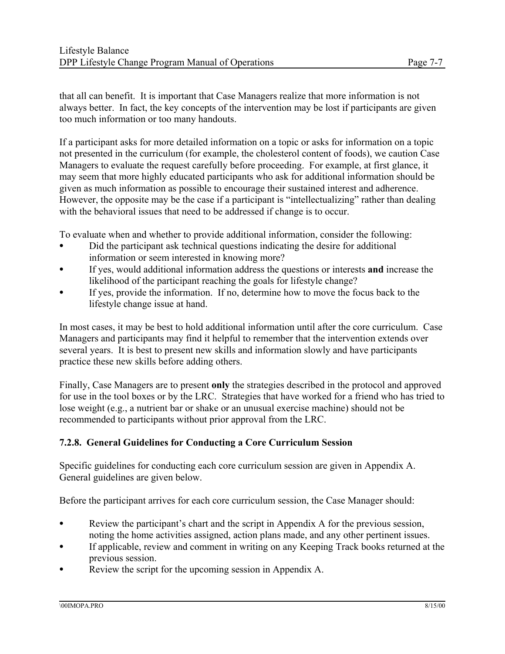that all can benefit. It is important that Case Managers realize that more information is not always better. In fact, the key concepts of the intervention may be lost if participants are given too much information or too many handouts.

If a participant asks for more detailed information on a topic or asks for information on a topic not presented in the curriculum (for example, the cholesterol content of foods), we caution Case Managers to evaluate the request carefully before proceeding. For example, at first glance, it may seem that more highly educated participants who ask for additional information should be given as much information as possible to encourage their sustained interest and adherence. However, the opposite may be the case if a participant is "intellectualizing" rather than dealing with the behavioral issues that need to be addressed if change is to occur.

To evaluate when and whether to provide additional information, consider the following:

- Did the participant ask technical questions indicating the desire for additional information or seem interested in knowing more?
- C If yes, would additional information address the questions or interests **and** increase the likelihood of the participant reaching the goals for lifestyle change?
- If yes, provide the information. If no, determine how to move the focus back to the lifestyle change issue at hand.

In most cases, it may be best to hold additional information until after the core curriculum. Case Managers and participants may find it helpful to remember that the intervention extends over several years. It is best to present new skills and information slowly and have participants practice these new skills before adding others.

Finally, Case Managers are to present **only** the strategies described in the protocol and approved for use in the tool boxes or by the LRC. Strategies that have worked for a friend who has tried to lose weight (e.g., a nutrient bar or shake or an unusual exercise machine) should not be recommended to participants without prior approval from the LRC.

#### **7.2.8. General Guidelines for Conducting a Core Curriculum Session**

Specific guidelines for conducting each core curriculum session are given in Appendix A. General guidelines are given below.

Before the participant arrives for each core curriculum session, the Case Manager should:

- e Review the participant's chart and the script in Appendix A for the previous session, noting the home activities assigned, action plans made, and any other pertinent issues.
- C If applicable, review and comment in writing on any Keeping Track books returned at the previous session.
- Review the script for the upcoming session in Appendix A.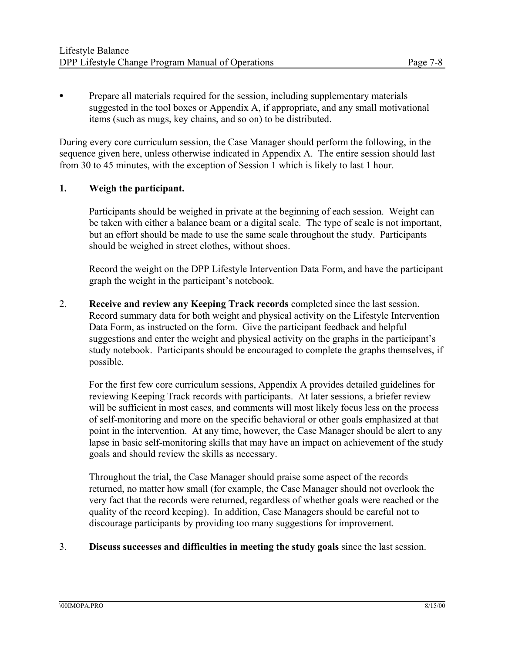$\bullet$  Prepare all materials required for the session, including supplementary materials suggested in the tool boxes or Appendix A, if appropriate, and any small motivational items (such as mugs, key chains, and so on) to be distributed.

During every core curriculum session, the Case Manager should perform the following, in the sequence given here, unless otherwise indicated in Appendix A. The entire session should last from 30 to 45 minutes, with the exception of Session 1 which is likely to last 1 hour.

#### **1. Weigh the participant.**

Participants should be weighed in private at the beginning of each session. Weight can be taken with either a balance beam or a digital scale. The type of scale is not important, but an effort should be made to use the same scale throughout the study. Participants should be weighed in street clothes, without shoes.

Record the weight on the DPP Lifestyle Intervention Data Form, and have the participant graph the weight in the participant's notebook.

2. **Receive and review any Keeping Track records** completed since the last session. Record summary data for both weight and physical activity on the Lifestyle Intervention Data Form, as instructed on the form. Give the participant feedback and helpful suggestions and enter the weight and physical activity on the graphs in the participant's study notebook. Participants should be encouraged to complete the graphs themselves, if possible.

For the first few core curriculum sessions, Appendix A provides detailed guidelines for reviewing Keeping Track records with participants. At later sessions, a briefer review will be sufficient in most cases, and comments will most likely focus less on the process of self-monitoring and more on the specific behavioral or other goals emphasized at that point in the intervention. At any time, however, the Case Manager should be alert to any lapse in basic self-monitoring skills that may have an impact on achievement of the study goals and should review the skills as necessary.

Throughout the trial, the Case Manager should praise some aspect of the records returned, no matter how small (for example, the Case Manager should not overlook the very fact that the records were returned, regardless of whether goals were reached or the quality of the record keeping). In addition, Case Managers should be careful not to discourage participants by providing too many suggestions for improvement.

#### 3. **Discuss successes and difficulties in meeting the study goals** since the last session.